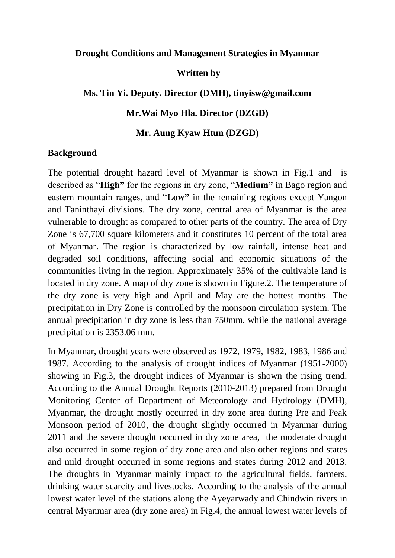## **Drought Conditions and Management Strategies in Myanmar**

## **Written by**

## **Ms. Tin Yi. Deputy. Director (DMH), tinyisw@gmail.com**

## **Mr.Wai Myo Hla. Director (DZGD)**

## **Mr. Aung Kyaw Htun (DZGD)**

## **Background**

The potential drought hazard level of Myanmar is shown in Fig.1 and is described as "**High"** for the regions in dry zone, "**Medium"** in Bago region and eastern mountain ranges, and "**Low"** in the remaining regions except Yangon and Taninthayi divisions. The dry zone, central area of Myanmar is the area vulnerable to drought as compared to other parts of the country. The area of Dry Zone is 67,700 square kilometers and it constitutes 10 percent of the total area of Myanmar. The region is characterized by low rainfall, intense heat and degraded soil conditions, affecting social and economic situations of the communities living in the region. Approximately 35% of the cultivable land is located in dry zone. A map of dry zone is shown in Figure.2. The temperature of the dry zone is very high and April and May are the hottest months. The precipitation in Dry Zone is controlled by the monsoon circulation system. The annual precipitation in dry zone is less than 750mm, while the national average precipitation is 2353.06 mm.

In Myanmar, drought years were observed as 1972, 1979, 1982, 1983, 1986 and 1987. According to the analysis of drought indices of Myanmar (1951-2000) showing in Fig.3, the drought indices of Myanmar is shown the rising trend. According to the Annual Drought Reports (2010-2013) prepared from Drought Monitoring Center of Department of Meteorology and Hydrology (DMH), Myanmar, the drought mostly occurred in dry zone area during Pre and Peak Monsoon period of 2010, the drought slightly occurred in Myanmar during 2011 and the severe drought occurred in dry zone area, the moderate drought also occurred in some region of dry zone area and also other regions and states and mild drought occurred in some regions and states during 2012 and 2013. The droughts in Myanmar mainly impact to the agricultural fields, farmers, drinking water scarcity and livestocks. According to the analysis of the annual lowest water level of the stations along the Ayeyarwady and Chindwin rivers in central Myanmar area (dry zone area) in Fig.4, the annual lowest water levels of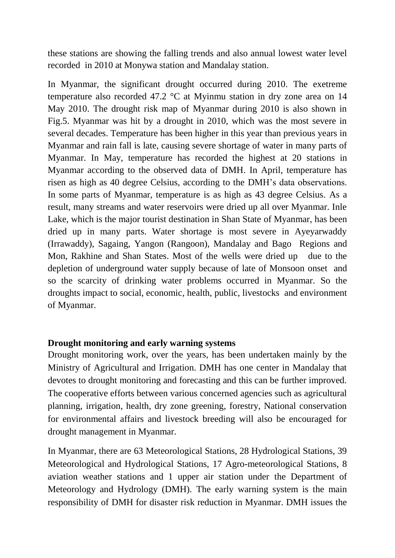these stations are showing the falling trends and also annual lowest water level recorded in 2010 at Monywa station and Mandalay station.

In Myanmar, the significant drought occurred during 2010. The exetreme temperature also recorded 47.2 °C at Myinmu station in dry zone area on 14 May 2010. The drought risk map of Myanmar during 2010 is also shown in Fig.5. Myanmar was hit by a drought in 2010, which was the most severe in several decades. Temperature has been higher in this year than previous years in Myanmar and rain fall is late, causing severe shortage of water in many parts of Myanmar. In May, temperature has recorded the highest at 20 stations in Myanmar according to the observed data of DMH. In April, temperature has risen as high as 40 degree Celsius, according to the DMH's data observations. In some parts of Myanmar, temperature is as high as 43 degree Celsius. As a result, many streams and water reservoirs were dried up all over Myanmar. Inle Lake, which is the major tourist destination in Shan State of Myanmar, has been dried up in many parts. Water shortage is most severe in Ayeyarwaddy (Irrawaddy), Sagaing, Yangon (Rangoon), Mandalay and Bago Regions and Mon, Rakhine and Shan States. Most of the wells were dried up due to the depletion of underground water supply because of late of Monsoon onset and so the scarcity of drinking water problems occurred in Myanmar. So the droughts impact to social, economic, health, public, livestocks and environment of Myanmar.

## **Drought monitoring and early warning systems**

Drought monitoring work, over the years, has been undertaken mainly by the Ministry of Agricultural and Irrigation. DMH has one center in Mandalay that devotes to drought monitoring and forecasting and this can be further improved. The cooperative efforts between various concerned agencies such as agricultural planning, irrigation, health, dry zone greening, forestry, National conservation for environmental affairs and livestock breeding will also be encouraged for drought management in Myanmar.

In Myanmar, there are 63 Meteorological Stations, 28 Hydrological Stations, 39 Meteorological and Hydrological Stations, 17 Agro-meteorological Stations, 8 aviation weather stations and 1 upper air station under the Department of Meteorology and Hydrology (DMH). The early warning system is the main responsibility of DMH for disaster risk reduction in Myanmar. DMH issues the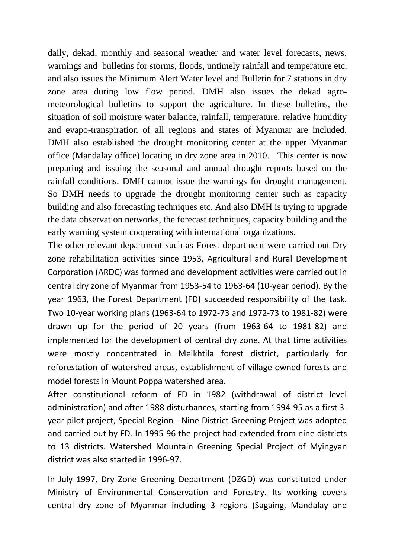daily, dekad, monthly and seasonal weather and water level forecasts, news, warnings and bulletins for storms, floods, untimely rainfall and temperature etc. and also issues the Minimum Alert Water level and Bulletin for 7 stations in dry zone area during low flow period. DMH also issues the dekad agrometeorological bulletins to support the agriculture. In these bulletins, the situation of soil moisture water balance, rainfall, temperature, relative humidity and evapo-transpiration of all regions and states of Myanmar are included. DMH also established the drought monitoring center at the upper Myanmar office (Mandalay office) locating in dry zone area in 2010. This center is now preparing and issuing the seasonal and annual drought reports based on the rainfall conditions. DMH cannot issue the warnings for drought management. So DMH needs to upgrade the drought monitoring center such as capacity building and also forecasting techniques etc. And also DMH is trying to upgrade the data observation networks, the forecast techniques, capacity building and the early warning system cooperating with international organizations.

The other relevant department such as Forest department were carried out Dry zone rehabilitation activities since 1953, Agricultural and Rural Development Corporation (ARDC) was formed and development activities were carried out in central dry zone of Myanmar from 1953-54 to 1963-64 (10-year period). By the year 1963, the Forest Department (FD) succeeded responsibility of the task. Two 10-year working plans (1963-64 to 1972-73 and 1972-73 to 1981-82) were drawn up for the period of 20 years (from 1963-64 to 1981-82) and implemented for the development of central dry zone. At that time activities were mostly concentrated in Meikhtila forest district, particularly for reforestation of watershed areas, establishment of village-owned-forests and model forests in Mount Poppa watershed area.

After constitutional reform of FD in 1982 (withdrawal of district level administration) and after 1988 disturbances, starting from 1994-95 as a first 3 year pilot project, Special Region - Nine District Greening Project was adopted and carried out by FD. In 1995-96 the project had extended from nine districts to 13 districts. Watershed Mountain Greening Special Project of Myingyan district was also started in 1996-97.

In July 1997, Dry Zone Greening Department (DZGD) was constituted under Ministry of Environmental Conservation and Forestry. Its working covers central dry zone of Myanmar including 3 regions (Sagaing, Mandalay and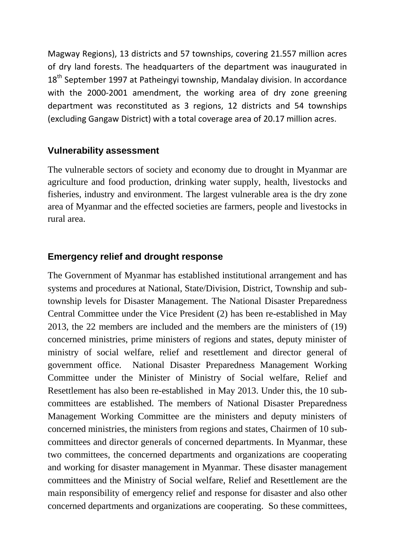Magway Regions), 13 districts and 57 townships, covering 21.557 million acres of dry land forests. The headquarters of the department was inaugurated in  $18<sup>th</sup>$  September 1997 at Patheingvi township. Mandalay division. In accordance with the 2000-2001 amendment, the working area of dry zone greening department was reconstituted as 3 regions, 12 districts and 54 townships (excluding Gangaw District) with a total coverage area of 20.17 million acres.

## **Vulnerability assessment**

The vulnerable sectors of society and economy due to drought in Myanmar are agriculture and food production, drinking water supply, health, livestocks and fisheries, industry and environment. The largest vulnerable area is the dry zone area of Myanmar and the effected societies are farmers, people and livestocks in rural area.

# **Emergency relief and drought response**

The Government of Myanmar has established institutional arrangement and has systems and procedures at National, State/Division, District, Township and subtownship levels for Disaster Management. The National Disaster Preparedness Central Committee under the Vice President (2) has been re-established in May 2013, the 22 members are included and the members are the ministers of (19) concerned ministries, prime ministers of regions and states, deputy minister of ministry of social welfare, relief and resettlement and director general of government office. National Disaster Preparedness Management Working Committee under the Minister of Ministry of Social welfare, Relief and Resettlement has also been re-established in May 2013. Under this, the 10 subcommittees are established. The members of National Disaster Preparedness Management Working Committee are the ministers and deputy ministers of concerned ministries, the ministers from regions and states, Chairmen of 10 subcommittees and director generals of concerned departments. In Myanmar, these two committees, the concerned departments and organizations are cooperating and working for disaster management in Myanmar. These disaster management committees and the Ministry of Social welfare, Relief and Resettlement are the main responsibility of emergency relief and response for disaster and also other concerned departments and organizations are cooperating. So these committees,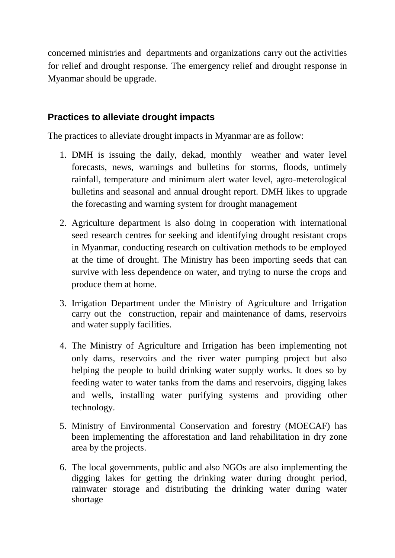concerned ministries and departments and organizations carry out the activities for relief and drought response. The emergency relief and drought response in Myanmar should be upgrade.

# **Practices to alleviate drought impacts**

The practices to alleviate drought impacts in Myanmar are as follow:

- 1. DMH is issuing the daily, dekad, monthly weather and water level forecasts, news, warnings and bulletins for storms, floods, untimely rainfall, temperature and minimum alert water level, agro-meterological bulletins and seasonal and annual drought report. DMH likes to upgrade the forecasting and warning system for drought management
- 2. Agriculture department is also doing in cooperation with international seed research centres for seeking and identifying drought resistant crops in Myanmar, conducting research on cultivation methods to be employed at the time of drought. The Ministry has been importing seeds that can survive with less dependence on water, and trying to nurse the crops and produce them at home.
- 3. Irrigation Department under the Ministry of Agriculture and Irrigation carry out the construction, repair and maintenance of dams, reservoirs and water supply facilities.
- 4. The Ministry of Agriculture and Irrigation has been implementing not only dams, reservoirs and the river water pumping project but also helping the people to build drinking water supply works. It does so by feeding water to water tanks from the dams and reservoirs, digging lakes and wells, installing water purifying systems and providing other technology.
- 5. Ministry of Environmental Conservation and forestry (MOECAF) has been implementing the afforestation and land rehabilitation in dry zone area by the projects.
- 6. The local governments, public and also NGOs are also implementing the digging lakes for getting the drinking water during drought period, rainwater storage and distributing the drinking water during water shortage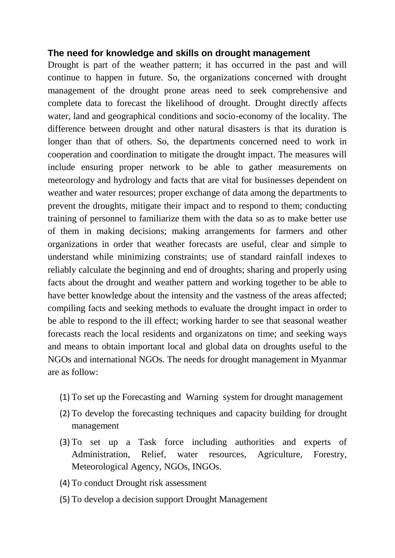## **The need for knowledge and skills on drought management**

Drought is part of the weather pattern; it has occurred in the past and will continue to happen in future. So, the organizations concerned with drought management of the drought prone areas need to seek comprehensive and complete data to forecast the likelihood of drought. Drought directly affects water, land and geographical conditions and socio-economy of the locality. The difference between drought and other natural disasters is that its duration is longer than that of others. So, the departments concerned need to work in cooperation and coordination to mitigate the drought impact. The measures will include ensuring proper network to be able to gather measurements on meteorology and hydrology and facts that are vital for businesses dependent on weather and water resources; proper exchange of data among the departments to prevent the droughts, mitigate their impact and to respond to them; conducting training of personnel to familiarize them with the data so as to make better use of them in making decisions; making arrangements for farmers and other organizations in order that weather forecasts are useful, clear and simple to understand while minimizing constraints; use of standard rainfall indexes to reliably calculate the beginning and end of droughts; sharing and properly using facts about the drought and weather pattern and working together to be able to have better knowledge about the intensity and the vastness of the areas affected; compiling facts and seeking methods to evaluate the drought impact in order to be able to respond to the ill effect; working harder to see that seasonal weather forecasts reach the local residents and organizatons on time; and seeking ways and means to obtain important local and global data on droughts useful to the NGOs and international NGOs. The needs for drought management in Myanmar are as follow:

- (1) To set up the Forecasting and Warning system for drought management
- (2) To develop the forecasting techniques and capacity building for drought management
- (3) To set up a Task force including authorities and experts of Administration, Relief, water resources, Agriculture, Forestry, Meteorological Agency, NGOs, INGOs.
- (4) To conduct Drought risk assessment
- (5) To develop a decision support Drought Management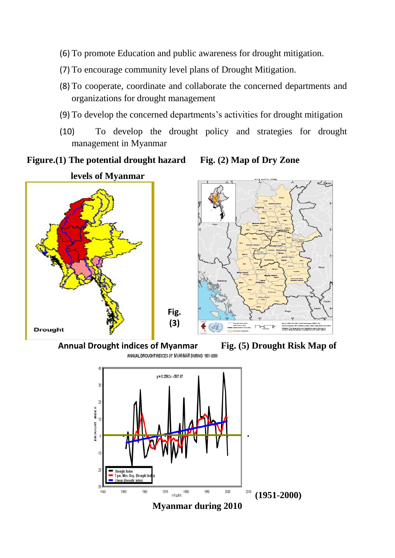- (6) To promote Education and public awareness for drought mitigation.
- (7) To encourage community level plans of Drought Mitigation.
- (8) To cooperate, coordinate and collaborate the concerned departments and organizations for drought management
- (9) To develop the concerned departments's activities for drought mitigation
- (10) To develop the drought policy and strategies for drought management in Myanmar





 $\frac{1}{\sqrt{2}}$ 



**Annual Drought indices of Myanmar Fig. (5) Drought Risk Map of** 

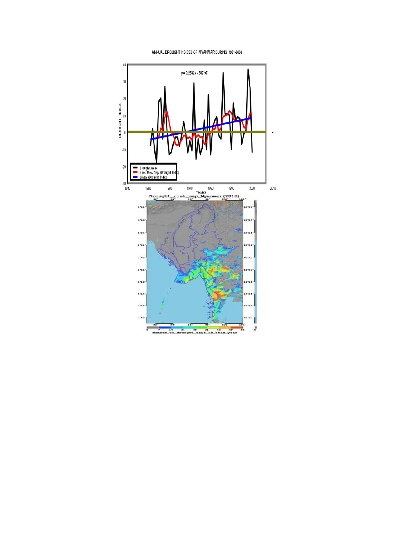ANNUAL DROUGHT INDICES OF MYANMAR DURING 1951-2000